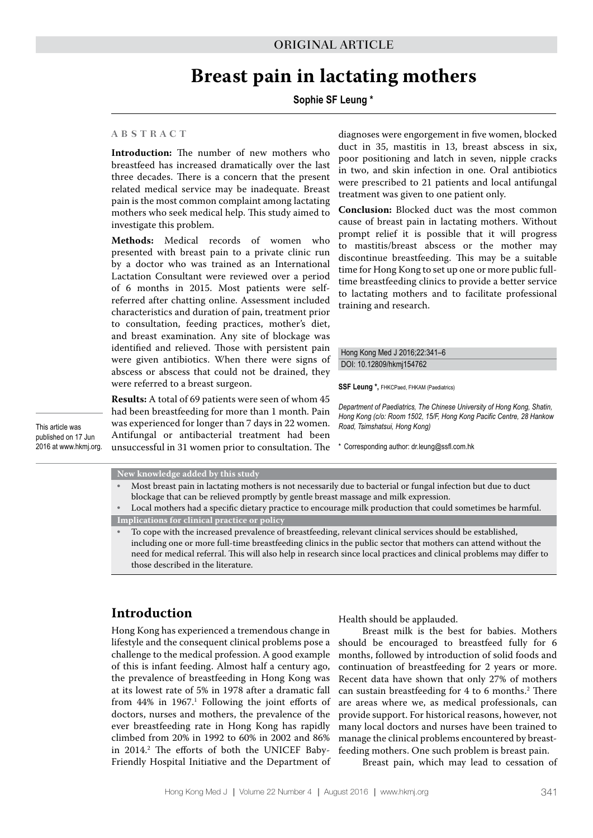# **Breast pain in lactating mothers**

### **Sophie SF Leung \***

#### **A B S T R A C T**

**Introduction:** The number of new mothers who breastfeed has increased dramatically over the last three decades. There is a concern that the present related medical service may be inadequate. Breast pain is the most common complaint among lactating mothers who seek medical help. This study aimed to investigate this problem.

**Methods:** Medical records of women who presented with breast pain to a private clinic run by a doctor who was trained as an International Lactation Consultant were reviewed over a period of 6 months in 2015. Most patients were selfreferred after chatting online. Assessment included characteristics and duration of pain, treatment prior to consultation, feeding practices, mother's diet, and breast examination. Any site of blockage was identified and relieved. Those with persistent pain were given antibiotics. When there were signs of abscess or abscess that could not be drained, they were referred to a breast surgeon.

**Results:** A total of 69 patients were seen of whom 45 had been breastfeeding for more than 1 month. Pain was experienced for longer than 7 days in 22 women. Antifungal or antibacterial treatment had been unsuccessful in 31 women prior to consultation. The

diagnoses were engorgement in five women, blocked duct in 35, mastitis in 13, breast abscess in six, poor positioning and latch in seven, nipple cracks in two, and skin infection in one. Oral antibiotics were prescribed to 21 patients and local antifungal treatment was given to one patient only.

**Conclusion:** Blocked duct was the most common cause of breast pain in lactating mothers. Without prompt relief it is possible that it will progress to mastitis/breast abscess or the mother may discontinue breastfeeding. This may be a suitable time for Hong Kong to set up one or more public fulltime breastfeeding clinics to provide a better service to lactating mothers and to facilitate professional training and research.

#### Hong Kong Med J 2016;22:341–6 DOI: 10.12809/hkmj154762

**SSF Leung \*,** FHKCPaed, FHKAM (Paediatrics)

*Department of Paediatrics, The Chinese University of Hong Kong, Shatin, Hong Kong (c/o: Room 1502, 15/F, Hong Kong Pacific Centre, 28 Hankow Road, Tsimshatsui, Hong Kong)* 

\* Corresponding author: dr.leung@ssfl.com.hk

This article was published on 17 Jun 2016 at www.hkmj.org.

#### **New knowledge added by this study**

• Most breast pain in lactating mothers is not necessarily due to bacterial or fungal infection but due to duct blockage that can be relieved promptly by gentle breast massage and milk expression. • Local mothers had a specific dietary practice to encourage milk production that could sometimes be harmful.

**Implications for clinical practice or policy**

• To cope with the increased prevalence of breastfeeding, relevant clinical services should be established, including one or more full-time breastfeeding clinics in the public sector that mothers can attend without the need for medical referral. This will also help in research since local practices and clinical problems may differ to those described in the literature.

### **Introduction**

Hong Kong has experienced a tremendous change in lifestyle and the consequent clinical problems pose a challenge to the medical profession. A good example of this is infant feeding. Almost half a century ago, the prevalence of breastfeeding in Hong Kong was at its lowest rate of 5% in 1978 after a dramatic fall from 44% in 1967.<sup>1</sup> Following the joint efforts of doctors, nurses and mothers, the prevalence of the ever breastfeeding rate in Hong Kong has rapidly climbed from 20% in 1992 to 60% in 2002 and 86% in 2014.2 The efforts of both the UNICEF Baby-Friendly Hospital Initiative and the Department of Health should be applauded.

Breast milk is the best for babies. Mothers should be encouraged to breastfeed fully for 6 months, followed by introduction of solid foods and continuation of breastfeeding for 2 years or more. Recent data have shown that only 27% of mothers can sustain breastfeeding for 4 to 6 months.<sup>2</sup> There are areas where we, as medical professionals, can provide support. For historical reasons, however, not many local doctors and nurses have been trained to manage the clinical problems encountered by breastfeeding mothers. One such problem is breast pain.

Breast pain, which may lead to cessation of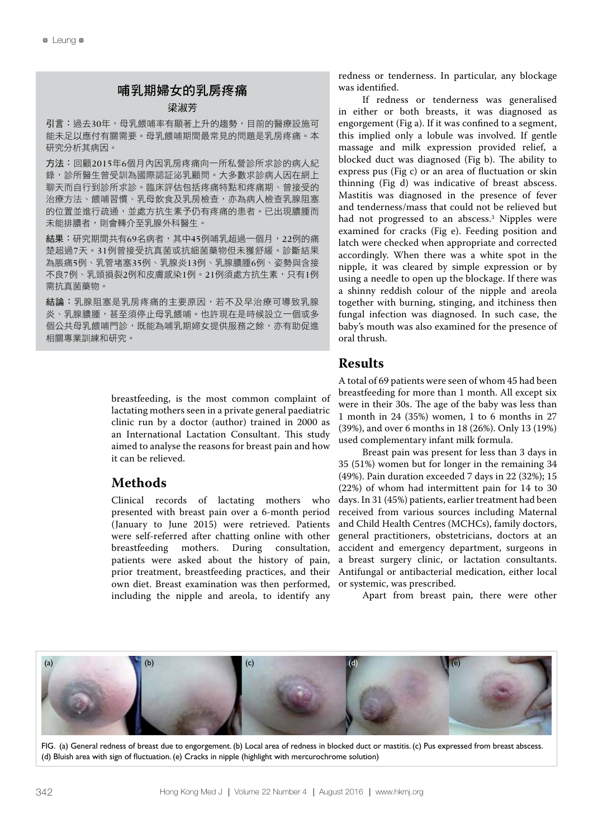### 哺乳期婦女的乳房疼痛

### 梁淑芳

引言:過去30年,母乳餵哺率有顯著上升的趨勢,目前的醫療設施可 能未足以應付有關需要。母乳餵哺期間最常見的問題是乳房疼痛。本 研究分析其病因。

方法:回顧2015年6個月內因乳房疼痛向一所私營診所求診的病人紀 錄,診所醫生曾受訓為國際認証泌乳顧問。大多數求診病人因在網上 聊天而自行到診所求診。臨床評估包括疼痛特點和疼痛期、曾接受的 治療方法、餵哺習慣、乳母飲食及乳房檢查,亦為病人檢查乳腺阻塞 的位置並進行疏通,並處方抗生素予仍有疼痛的患者。已出現膿腫而 未能排膿者,則會轉介至乳腺外科醫生。

結果:研究期間共有69名病者,其中45例哺乳超過一個月,22例的痛 楚超過7天。31例曾接受抗真菌或抗細菌藥物但未獲舒緩。診斷結果 為脹痛5例、乳管堵塞35例、乳腺炎13例、乳腺膿腫6例、姿勢與含接 不良7例、乳頭損裂2例和皮膚感染1例。21例須處方抗生素,只有1例 需抗真菌藥物。

結論:乳腺阻塞是乳房疼痛的主要原因,若不及早治療可導致乳腺 炎、乳腺膿腫,甚至須停止母乳餵哺。也許現在是時候設立一個或多 個公共母乳餵哺門診,既能為哺乳期婦女提供服務之餘,亦有助促進 相關專業訓練和研究。

> breastfeeding, is the most common complaint of lactating mothers seen in a private general paediatric clinic run by a doctor (author) trained in 2000 as an International Lactation Consultant. This study aimed to analyse the reasons for breast pain and how it can be relieved.

### **Methods**

Clinical records of lactating mothers who presented with breast pain over a 6-month period (January to June 2015) were retrieved. Patients were self-referred after chatting online with other breastfeeding mothers. During consultation, patients were asked about the history of pain, prior treatment, breastfeeding practices, and their own diet. Breast examination was then performed, including the nipple and areola, to identify any

redness or tenderness. In particular, any blockage was identified.

If redness or tenderness was generalised in either or both breasts, it was diagnosed as engorgement (Fig a). If it was confined to a segment, this implied only a lobule was involved. If gentle massage and milk expression provided relief, a blocked duct was diagnosed (Fig b). The ability to express pus (Fig c) or an area of fluctuation or skin thinning (Fig d) was indicative of breast abscess. Mastitis was diagnosed in the presence of fever and tenderness/mass that could not be relieved but had not progressed to an abscess.3 Nipples were examined for cracks (Fig e). Feeding position and latch were checked when appropriate and corrected accordingly. When there was a white spot in the nipple, it was cleared by simple expression or by using a needle to open up the blockage. If there was a shinny reddish colour of the nipple and areola together with burning, stinging, and itchiness then fungal infection was diagnosed. In such case, the baby's mouth was also examined for the presence of oral thrush.

### **Results**

A total of 69 patients were seen of whom 45 had been breastfeeding for more than 1 month. All except six were in their 30s. The age of the baby was less than 1 month in 24 (35%) women, 1 to 6 months in 27 (39%), and over 6 months in 18 (26%). Only 13 (19%) used complementary infant milk formula.

Breast pain was present for less than 3 days in 35 (51%) women but for longer in the remaining 34 (49%). Pain duration exceeded 7 days in 22 (32%); 15 (22%) of whom had intermittent pain for 14 to 30 days. In 31 (45%) patients, earlier treatment had been received from various sources including Maternal and Child Health Centres (MCHCs), family doctors, general practitioners, obstetricians, doctors at an accident and emergency department, surgeons in a breast surgery clinic, or lactation consultants. Antifungal or antibacterial medication, either local or systemic, was prescribed.

Apart from breast pain, there were other



FIG. (a) General redness of breast due to engorgement. (b) Local area of redness in blocked duct or mastitis. (c) Pus expressed from breast abscess. (d) Bluish area with sign of fluctuation. (e) Cracks in nipple (highlight with mercurochrome solution)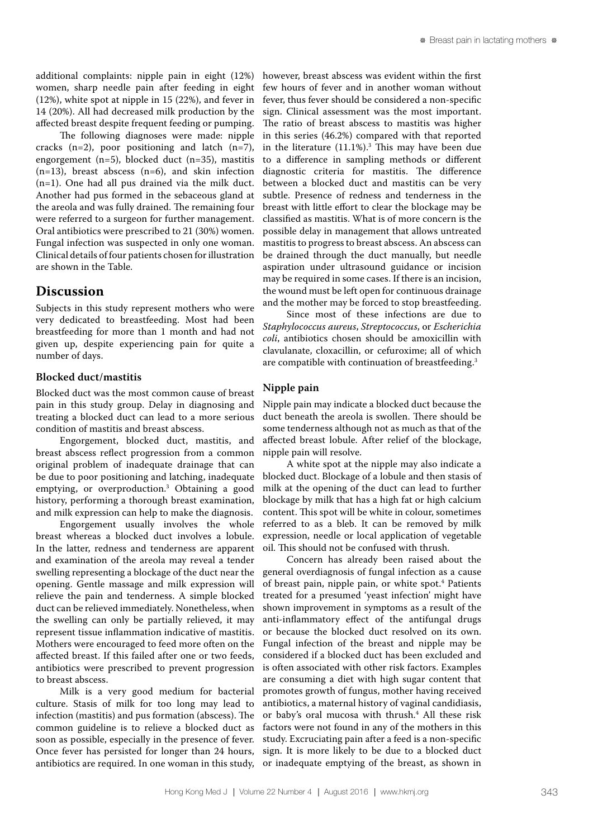additional complaints: nipple pain in eight (12%) women, sharp needle pain after feeding in eight (12%), white spot at nipple in 15 (22%), and fever in 14 (20%). All had decreased milk production by the affected breast despite frequent feeding or pumping.

The following diagnoses were made: nipple cracks  $(n=2)$ , poor positioning and latch  $(n=7)$ , engorgement (n=5), blocked duct (n=35), mastitis  $(n=13)$ , breast abscess  $(n=6)$ , and skin infection (n=1). One had all pus drained via the milk duct. Another had pus formed in the sebaceous gland at the areola and was fully drained. The remaining four were referred to a surgeon for further management. Oral antibiotics were prescribed to 21 (30%) women. Fungal infection was suspected in only one woman. Clinical details of four patients chosen for illustration are shown in the Table.

### **Discussion**

Subjects in this study represent mothers who were very dedicated to breastfeeding. Most had been breastfeeding for more than 1 month and had not given up, despite experiencing pain for quite a number of days.

### **Blocked duct/mastitis**

Blocked duct was the most common cause of breast pain in this study group. Delay in diagnosing and treating a blocked duct can lead to a more serious condition of mastitis and breast abscess.

Engorgement, blocked duct, mastitis, and breast abscess reflect progression from a common original problem of inadequate drainage that can be due to poor positioning and latching, inadequate emptying, or overproduction.3 Obtaining a good history, performing a thorough breast examination, and milk expression can help to make the diagnosis.

Engorgement usually involves the whole breast whereas a blocked duct involves a lobule. In the latter, redness and tenderness are apparent and examination of the areola may reveal a tender swelling representing a blockage of the duct near the opening. Gentle massage and milk expression will relieve the pain and tenderness. A simple blocked duct can be relieved immediately. Nonetheless, when the swelling can only be partially relieved, it may represent tissue inflammation indicative of mastitis. Mothers were encouraged to feed more often on the affected breast. If this failed after one or two feeds, antibiotics were prescribed to prevent progression to breast abscess.

Milk is a very good medium for bacterial culture. Stasis of milk for too long may lead to infection (mastitis) and pus formation (abscess). The common guideline is to relieve a blocked duct as soon as possible, especially in the presence of fever. Once fever has persisted for longer than 24 hours, antibiotics are required. In one woman in this study, however, breast abscess was evident within the first few hours of fever and in another woman without fever, thus fever should be considered a non-specific sign. Clinical assessment was the most important. The ratio of breast abscess to mastitis was higher in this series (46.2%) compared with that reported in the literature (11.1%).3 This may have been due to a difference in sampling methods or different diagnostic criteria for mastitis. The difference between a blocked duct and mastitis can be very subtle. Presence of redness and tenderness in the breast with little effort to clear the blockage may be classified as mastitis. What is of more concern is the possible delay in management that allows untreated mastitis to progress to breast abscess. An abscess can be drained through the duct manually, but needle aspiration under ultrasound guidance or incision may be required in some cases. If there is an incision, the wound must be left open for continuous drainage and the mother may be forced to stop breastfeeding.

Since most of these infections are due to *Staphylococcus aureus*, *Streptococcus*, or *Escherichia coli*, antibiotics chosen should be amoxicillin with clavulanate, cloxacillin, or cefuroxime; all of which are compatible with continuation of breastfeeding.<sup>3</sup>

### **Nipple pain**

Nipple pain may indicate a blocked duct because the duct beneath the areola is swollen. There should be some tenderness although not as much as that of the affected breast lobule. After relief of the blockage, nipple pain will resolve.

A white spot at the nipple may also indicate a blocked duct. Blockage of a lobule and then stasis of milk at the opening of the duct can lead to further blockage by milk that has a high fat or high calcium content. This spot will be white in colour, sometimes referred to as a bleb. It can be removed by milk expression, needle or local application of vegetable oil. This should not be confused with thrush.

Concern has already been raised about the general overdiagnosis of fungal infection as a cause of breast pain, nipple pain, or white spot.<sup>4</sup> Patients treated for a presumed 'yeast infection' might have shown improvement in symptoms as a result of the anti-inflammatory effect of the antifungal drugs or because the blocked duct resolved on its own. Fungal infection of the breast and nipple may be considered if a blocked duct has been excluded and is often associated with other risk factors. Examples are consuming a diet with high sugar content that promotes growth of fungus, mother having received antibiotics, a maternal history of vaginal candidiasis, or baby's oral mucosa with thrush.4 All these risk factors were not found in any of the mothers in this study. Excruciating pain after a feed is a non-specific sign. It is more likely to be due to a blocked duct or inadequate emptying of the breast, as shown in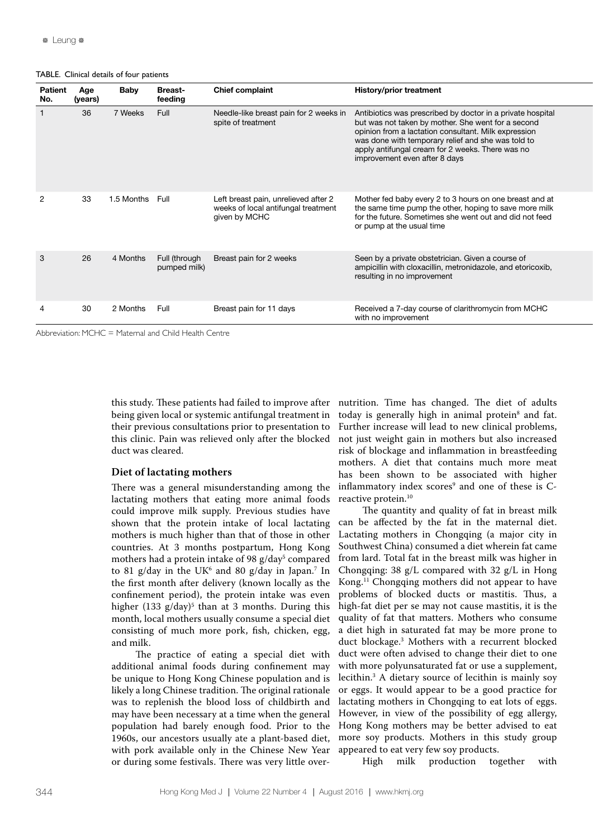TABLE. Clinical details of four patients

| Patient<br>No. | Age<br>(years) | Baby            | <b>Breast-</b><br>feeding     | <b>Chief complaint</b>                                                                       | <b>History/prior treatment</b>                                                                                                                                                                                                                                                                                      |
|----------------|----------------|-----------------|-------------------------------|----------------------------------------------------------------------------------------------|---------------------------------------------------------------------------------------------------------------------------------------------------------------------------------------------------------------------------------------------------------------------------------------------------------------------|
|                | 36             | 7 Weeks         | Full                          | Needle-like breast pain for 2 weeks in<br>spite of treatment                                 | Antibiotics was prescribed by doctor in a private hospital<br>but was not taken by mother. She went for a second<br>opinion from a lactation consultant. Milk expression<br>was done with temporary relief and she was told to<br>apply antifungal cream for 2 weeks. There was no<br>improvement even after 8 days |
| $\overline{2}$ | 33             | 1.5 Months Full |                               | Left breast pain, unrelieved after 2<br>weeks of local antifungal treatment<br>given by MCHC | Mother fed baby every 2 to 3 hours on one breast and at<br>the same time pump the other, hoping to save more milk<br>for the future. Sometimes she went out and did not feed<br>or pump at the usual time                                                                                                           |
| $\mathbf{3}$   | 26             | 4 Months        | Full (through<br>pumped milk) | Breast pain for 2 weeks                                                                      | Seen by a private obstetrician. Given a course of<br>ampicillin with cloxacillin, metronidazole, and etoricoxib,<br>resulting in no improvement                                                                                                                                                                     |
|                | 30             | 2 Months Full   |                               | Breast pain for 11 days                                                                      | Received a 7-day course of clarithromycin from MCHC<br>with no improvement                                                                                                                                                                                                                                          |

Abbreviation: MCHC = Maternal and Child Health Centre

this study. These patients had failed to improve after being given local or systemic antifungal treatment in their previous consultations prior to presentation to this clinic. Pain was relieved only after the blocked duct was cleared.

#### **Diet of lactating mothers**

There was a general misunderstanding among the lactating mothers that eating more animal foods could improve milk supply. Previous studies have shown that the protein intake of local lactating mothers is much higher than that of those in other countries. At 3 months postpartum, Hong Kong mothers had a protein intake of 98 g/day<sup>5</sup> compared to 81 g/day in the UK $6$  and 80 g/day in Japan.<sup>7</sup> In the first month after delivery (known locally as the confinement period), the protein intake was even higher (133 g/day)<sup>5</sup> than at 3 months. During this month, local mothers usually consume a special diet consisting of much more pork, fish, chicken, egg, and milk.

The practice of eating a special diet with additional animal foods during confinement may be unique to Hong Kong Chinese population and is likely a long Chinese tradition. The original rationale was to replenish the blood loss of childbirth and may have been necessary at a time when the general population had barely enough food. Prior to the 1960s, our ancestors usually ate a plant-based diet, with pork available only in the Chinese New Year or during some festivals. There was very little over-

nutrition. Time has changed. The diet of adults today is generally high in animal protein<sup>8</sup> and fat. Further increase will lead to new clinical problems, not just weight gain in mothers but also increased risk of blockage and inflammation in breastfeeding mothers. A diet that contains much more meat has been shown to be associated with higher inflammatory index scores<sup>9</sup> and one of these is Creactive protein.<sup>10</sup>

The quantity and quality of fat in breast milk can be affected by the fat in the maternal diet. Lactating mothers in Chongqing (a major city in Southwest China) consumed a diet wherein fat came from lard. Total fat in the breast milk was higher in Chongqing: 38 g/L compared with 32 g/L in Hong Kong.11 Chongqing mothers did not appear to have problems of blocked ducts or mastitis. Thus, a high-fat diet per se may not cause mastitis, it is the quality of fat that matters. Mothers who consume a diet high in saturated fat may be more prone to duct blockage.3 Mothers with a recurrent blocked duct were often advised to change their diet to one with more polyunsaturated fat or use a supplement, lecithin.3 A dietary source of lecithin is mainly soy or eggs. It would appear to be a good practice for lactating mothers in Chongqing to eat lots of eggs. However, in view of the possibility of egg allergy, Hong Kong mothers may be better advised to eat more soy products. Mothers in this study group appeared to eat very few soy products.<br>High milk production together

milk production together with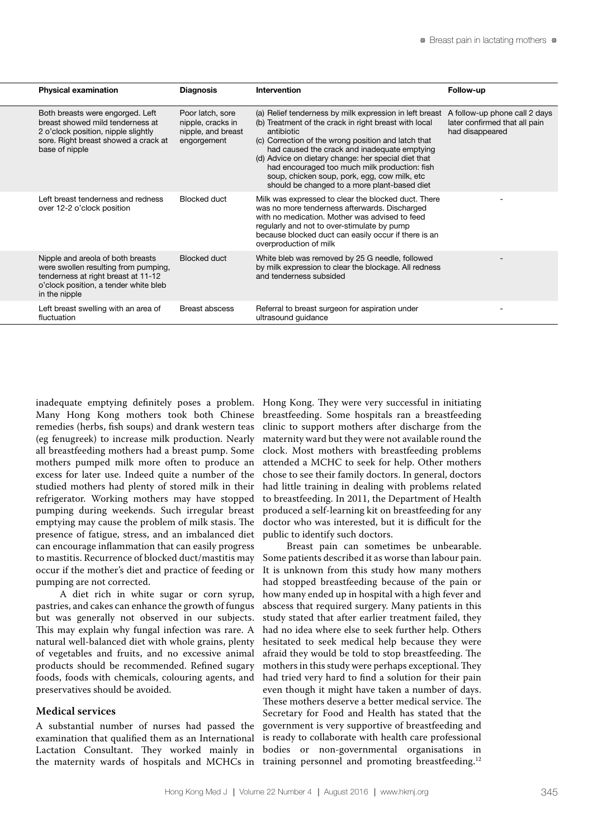| <b>Physical examination</b>                                                                                                                                                | <b>Diagnosis</b>                                                           | Intervention                                                                                                                                                                                                                                                                                                                                                                                                                                  | Follow-up                                                                         |
|----------------------------------------------------------------------------------------------------------------------------------------------------------------------------|----------------------------------------------------------------------------|-----------------------------------------------------------------------------------------------------------------------------------------------------------------------------------------------------------------------------------------------------------------------------------------------------------------------------------------------------------------------------------------------------------------------------------------------|-----------------------------------------------------------------------------------|
| Both breasts were engorged. Left<br>breast showed mild tenderness at<br>2 o'clock position, nipple slightly<br>sore. Right breast showed a crack at<br>base of nipple      | Poor latch, sore<br>nipple, cracks in<br>nipple, and breast<br>engorgement | (a) Relief tenderness by milk expression in left breast<br>(b) Treatment of the crack in right breast with local<br>antibiotic<br>(c) Correction of the wrong position and latch that<br>had caused the crack and inadequate emptying<br>(d) Advice on dietary change: her special diet that<br>had encouraged too much milk production: fish<br>soup, chicken soup, pork, egg, cow milk, etc<br>should be changed to a more plant-based diet | A follow-up phone call 2 days<br>later confirmed that all pain<br>had disappeared |
| Left breast tenderness and redness<br>over 12-2 o'clock position                                                                                                           | <b>Blocked duct</b>                                                        | Milk was expressed to clear the blocked duct. There<br>was no more tenderness afterwards. Discharged<br>with no medication. Mother was advised to feed<br>regularly and not to over-stimulate by pump<br>because blocked duct can easily occur if there is an<br>overproduction of milk                                                                                                                                                       |                                                                                   |
| Nipple and areola of both breasts<br>were swollen resulting from pumping,<br>tenderness at right breast at 11-12<br>o'clock position, a tender white bleb<br>in the nipple | <b>Blocked duct</b>                                                        | White bleb was removed by 25 G needle, followed<br>by milk expression to clear the blockage. All redness<br>and tenderness subsided                                                                                                                                                                                                                                                                                                           |                                                                                   |
| Left breast swelling with an area of<br>fluctuation                                                                                                                        | <b>Breast abscess</b>                                                      | Referral to breast surgeon for aspiration under<br>ultrasound guidance                                                                                                                                                                                                                                                                                                                                                                        |                                                                                   |

inadequate emptying definitely poses a problem. Many Hong Kong mothers took both Chinese remedies (herbs, fish soups) and drank western teas (eg fenugreek) to increase milk production. Nearly all breastfeeding mothers had a breast pump. Some mothers pumped milk more often to produce an excess for later use. Indeed quite a number of the studied mothers had plenty of stored milk in their refrigerator. Working mothers may have stopped pumping during weekends. Such irregular breast emptying may cause the problem of milk stasis. The presence of fatigue, stress, and an imbalanced diet can encourage inflammation that can easily progress to mastitis. Recurrence of blocked duct/mastitis may occur if the mother's diet and practice of feeding or pumping are not corrected.

A diet rich in white sugar or corn syrup, pastries, and cakes can enhance the growth of fungus but was generally not observed in our subjects. This may explain why fungal infection was rare. A natural well-balanced diet with whole grains, plenty of vegetables and fruits, and no excessive animal products should be recommended. Refined sugary foods, foods with chemicals, colouring agents, and preservatives should be avoided.

#### **Medical services**

A substantial number of nurses had passed the examination that qualified them as an International Lactation Consultant. They worked mainly in the maternity wards of hospitals and MCHCs in

Hong Kong. They were very successful in initiating breastfeeding. Some hospitals ran a breastfeeding clinic to support mothers after discharge from the maternity ward but they were not available round the clock. Most mothers with breastfeeding problems attended a MCHC to seek for help. Other mothers chose to see their family doctors. In general, doctors had little training in dealing with problems related to breastfeeding. In 2011, the Department of Health produced a self-learning kit on breastfeeding for any doctor who was interested, but it is difficult for the public to identify such doctors.

Breast pain can sometimes be unbearable. Some patients described it as worse than labour pain. It is unknown from this study how many mothers had stopped breastfeeding because of the pain or how many ended up in hospital with a high fever and abscess that required surgery. Many patients in this study stated that after earlier treatment failed, they had no idea where else to seek further help. Others hesitated to seek medical help because they were afraid they would be told to stop breastfeeding. The mothers in this study were perhaps exceptional. They had tried very hard to find a solution for their pain even though it might have taken a number of days. These mothers deserve a better medical service. The Secretary for Food and Health has stated that the government is very supportive of breastfeeding and is ready to collaborate with health care professional bodies or non-governmental organisations in training personnel and promoting breastfeeding.<sup>12</sup>